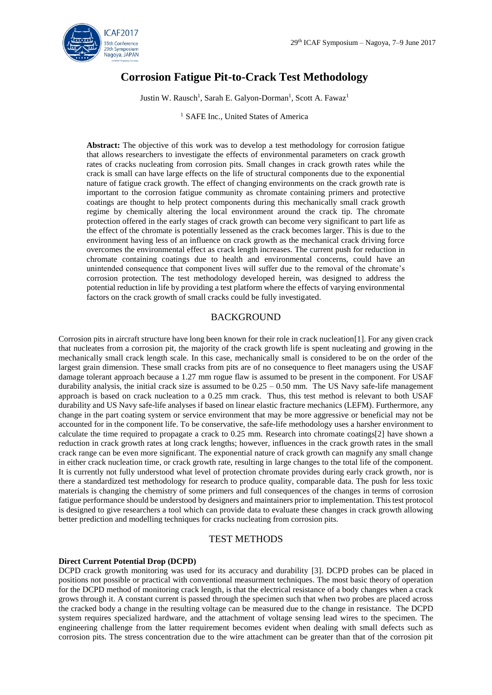

# **Corrosion Fatigue Pit-to-Crack Test Methodology**

Justin W. Rausch<sup>1</sup>, Sarah E. Galyon-Dorman<sup>1</sup>, Scott A. Fawaz<sup>1</sup>

<sup>1</sup> SAFE Inc., United States of America

**Abstract:** The objective of this work was to develop a test methodology for corrosion fatigue that allows researchers to investigate the effects of environmental parameters on crack growth rates of cracks nucleating from corrosion pits. Small changes in crack growth rates while the crack is small can have large effects on the life of structural components due to the exponential nature of fatigue crack growth. The effect of changing environments on the crack growth rate is important to the corrosion fatigue community as chromate containing primers and protective coatings are thought to help protect components during this mechanically small crack growth regime by chemically altering the local environment around the crack tip. The chromate protection offered in the early stages of crack growth can become very significant to part life as the effect of the chromate is potentially lessened as the crack becomes larger. This is due to the environment having less of an influence on crack growth as the mechanical crack driving force overcomes the environmental effect as crack length increases. The current push for reduction in chromate containing coatings due to health and environmental concerns, could have an unintended consequence that component lives will suffer due to the removal of the chromate's corrosion protection. The test methodology developed herein, was designed to address the potential reduction in life by providing a test platform where the effects of varying environmental factors on the crack growth of small cracks could be fully investigated.

# BACKGROUND

Corrosion pits in aircraft structure have long been known for their role in crack nucleation[1]. For any given crack that nucleates from a corrosion pit, the majority of the crack growth life is spent nucleating and growing in the mechanically small crack length scale. In this case, mechanically small is considered to be on the order of the largest grain dimension. These small cracks from pits are of no consequence to fleet managers using the USAF damage tolerant approach because a 1.27 mm rogue flaw is assumed to be present in the component. For USAF durability analysis, the initial crack size is assumed to be  $0.25 - 0.50$  mm. The US Navy safe-life management approach is based on crack nucleation to a 0.25 mm crack. Thus, this test method is relevant to both USAF durability and US Navy safe-life analyses if based on linear elastic fracture mechanics (LEFM). Furthermore, any change in the part coating system or service environment that may be more aggressive or beneficial may not be accounted for in the component life. To be conservative, the safe-life methodology uses a harsher environment to calculate the time required to propagate a crack to 0.25 mm. Research into chromate coatings[2] have shown a reduction in crack growth rates at long crack lengths; however, influences in the crack growth rates in the small crack range can be even more significant. The exponential nature of crack growth can magnify any small change in either crack nucleation time, or crack growth rate, resulting in large changes to the total life of the component. It is currently not fully understood what level of protection chromate provides during early crack growth, nor is there a standardized test methodology for research to produce quality, comparable data. The push for less toxic materials is changing the chemistry of some primers and full consequences of the changes in terms of corrosion fatigue performance should be understood by designers and maintainers prior to implementation. This test protocol is designed to give researchers a tool which can provide data to evaluate these changes in crack growth allowing better prediction and modelling techniques for cracks nucleating from corrosion pits.

# TEST METHODS

#### **Direct Current Potential Drop (DCPD)**

DCPD crack growth monitoring was used for its accuracy and durability [3]. DCPD probes can be placed in positions not possible or practical with conventional measurment techniques. The most basic theory of operation for the DCPD method of monitoring crack length, is that the electrical resistance of a body changes when a crack grows through it. A constant current is passed through the specimen such that when two probes are placed across the cracked body a change in the resulting voltage can be measured due to the change in resistance. The DCPD system requires specialized hardware, and the attachment of voltage sensing lead wires to the specimen. The engineering challenge from the latter requirement becomes evident when dealing with small defects such as corrosion pits. The stress concentration due to the wire attachment can be greater than that of the corrosion pit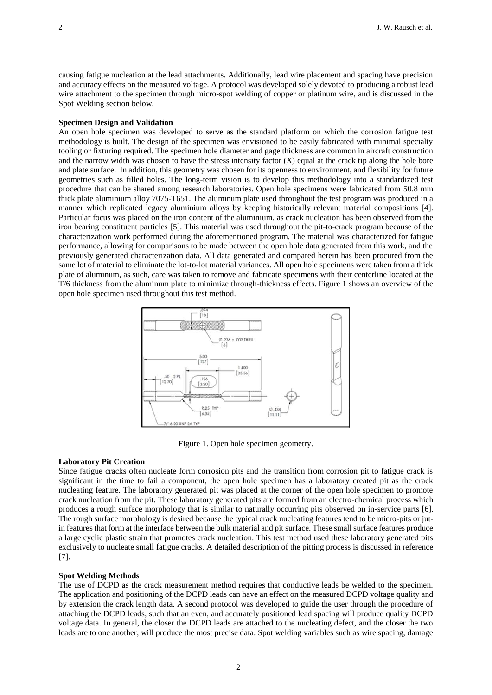causing fatigue nucleation at the lead attachments. Additionally, lead wire placement and spacing have precision and accuracy effects on the measured voltage. A protocol was developed solely devoted to producing a robust lead wire attachment to the specimen through micro-spot welding of copper or platinum wire, and is discussed in the Spot Welding section below.

### **Specimen Design and Validation**

An open hole specimen was developed to serve as the standard platform on which the corrosion fatigue test methodology is built. The design of the specimen was envisioned to be easily fabricated with minimal specialty tooling or fixturing required. The specimen hole diameter and gage thickness are common in aircraft construction and the narrow width was chosen to have the stress intensity factor (*K*) equal at the crack tip along the hole bore and plate surface. In addition, this geometry was chosen for its openness to environment, and flexibility for future geometries such as filled holes. The long-term vision is to develop this methodology into a standardized test procedure that can be shared among research laboratories. Open hole specimens were fabricated from 50.8 mm thick plate aluminium alloy 7075-T651. The aluminum plate used throughout the test program was produced in a manner which replicated legacy aluminium alloys by keeping historically relevant material compositions [4]. Particular focus was placed on the iron content of the aluminium, as crack nucleation has been observed from the iron bearing constituent particles [5]. This material was used throughout the pit-to-crack program because of the characterization work performed during the aforementioned program. The material was characterized for fatigue performance, allowing for comparisons to be made between the open hole data generated from this work, and the previously generated characterization data. All data generated and compared herein has been procured from the same lot of material to eliminate the lot-to-lot material variances. All open hole specimens were taken from a thick plate of aluminum, as such, care was taken to remove and fabricate specimens with their centerline located at the T/6 thickness from the aluminum plate to minimize through-thickness effects. Figure 1 shows an overview of the open hole specimen used throughout this test method.



Figure 1. Open hole specimen geometry.

#### **Laboratory Pit Creation**

Since fatigue cracks often nucleate form corrosion pits and the transition from corrosion pit to fatigue crack is significant in the time to fail a component, the open hole specimen has a laboratory created pit as the crack nucleating feature. The laboratory generated pit was placed at the corner of the open hole specimen to promote crack nucleation from the pit. These laboratory generated pits are formed from an electro-chemical process which produces a rough surface morphology that is similar to naturally occurring pits observed on in-service parts [6]. The rough surface morphology is desired because the typical crack nucleating features tend to be micro-pits or jutin features that form at the interface between the bulk material and pit surface. These small surface features produce a large cyclic plastic strain that promotes crack nucleation. This test method used these laboratory generated pits exclusively to nucleate small fatigue cracks. A detailed description of the pitting process is discussed in reference [7].

#### **Spot Welding Methods**

The use of DCPD as the crack measurement method requires that conductive leads be welded to the specimen. The application and positioning of the DCPD leads can have an effect on the measured DCPD voltage quality and by extension the crack length data. A second protocol was developed to guide the user through the procedure of attaching the DCPD leads, such that an even, and accurately positioned lead spacing will produce quality DCPD voltage data. In general, the closer the DCPD leads are attached to the nucleating defect, and the closer the two leads are to one another, will produce the most precise data. Spot welding variables such as wire spacing, damage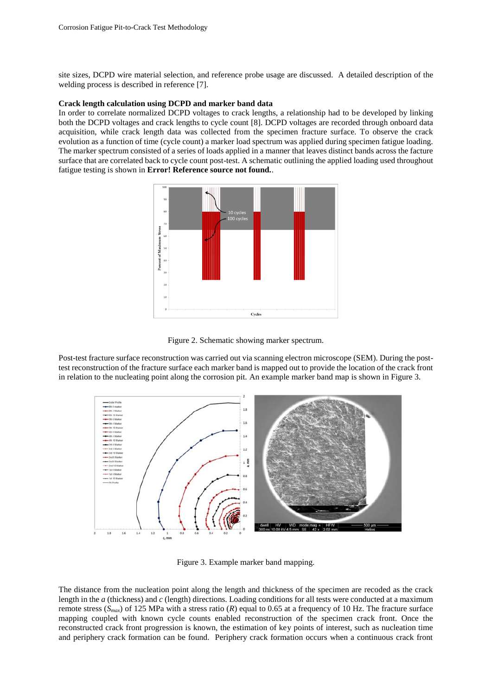site sizes, DCPD wire material selection, and reference probe usage are discussed. A detailed description of the welding process is described in reference [7].

### **Crack length calculation using DCPD and marker band data**

In order to correlate normalized DCPD voltages to crack lengths, a relationship had to be developed by linking both the DCPD voltages and crack lengths to cycle count [8]. DCPD voltages are recorded through onboard data acquisition, while crack length data was collected from the specimen fracture surface. To observe the crack evolution as a function of time (cycle count) a marker load spectrum was applied during specimen fatigue loading. The marker spectrum consisted of a series of loads applied in a manner that leaves distinct bands across the facture surface that are correlated back to cycle count post-test. A schematic outlining the applied loading used throughout fatigue testing is shown in **Error! Reference source not found.**.





Post-test fracture surface reconstruction was carried out via scanning electron microscope (SEM). During the posttest reconstruction of the fracture surface each marker band is mapped out to provide the location of the crack front in relation to the nucleating point along the corrosion pit. An example marker band map is shown in Figure 3.



Figure 3. Example marker band mapping.

The distance from the nucleation point along the length and thickness of the specimen are recoded as the crack length in the *a* (thickness) and *c* (length) directions. Loading conditions for all tests were conducted at a maximum remote stress ( $S_{max}$ ) of 125 MPa with a stress ratio (*R*) equal to 0.65 at a frequency of 10 Hz. The fracture surface mapping coupled with known cycle counts enabled reconstruction of the specimen crack front. Once the reconstructed crack front progression is known, the estimation of key points of interest, such as nucleation time and periphery crack formation can be found. Periphery crack formation occurs when a continuous crack front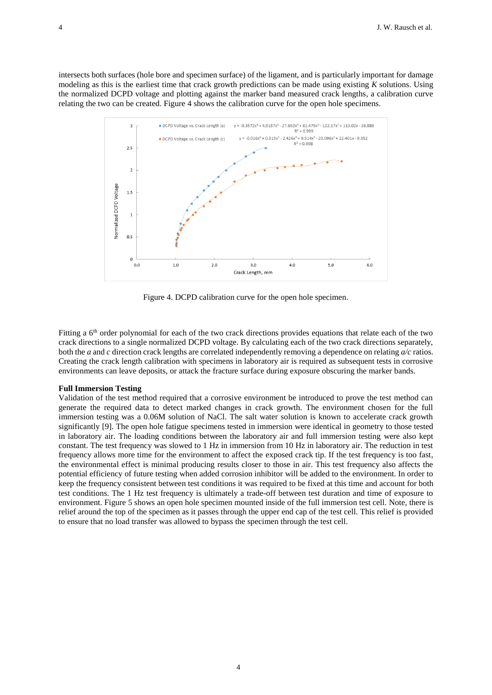intersects both surfaces (hole bore and specimen surface) of the ligament, and is particularly important for damage modeling as this is the earliest time that crack growth predictions can be made using existing *K* solutions. Using the normalized DCPD voltage and plotting against the marker band measured crack lengths, a calibration curve relating the two can be created. Figure 4 shows the calibration curve for the open hole specimens.



Figure 4. DCPD calibration curve for the open hole specimen.

Fitting a 6<sup>th</sup> order polynomial for each of the two crack directions provides equations that relate each of the two crack directions to a single normalized DCPD voltage. By calculating each of the two crack directions separately, both the *a* and *c* direction crack lengths are correlated independently removing a dependence on relating *a/c* ratios. Creating the crack length calibration with specimens in laboratory air is required as subsequent tests in corrosive environments can leave deposits, or attack the fracture surface during exposure obscuring the marker bands.

#### **Full Immersion Testing**

Validation of the test method required that a corrosive environment be introduced to prove the test method can generate the required data to detect marked changes in crack growth. The environment chosen for the full immersion testing was a 0.06M solution of NaCl. The salt water solution is known to accelerate crack growth significantly [9]. The open hole fatigue specimens tested in immersion were identical in geometry to those tested in laboratory air. The loading conditions between the laboratory air and full immersion testing were also kept constant. The test frequency was slowed to 1 Hz in immersion from 10 Hz in laboratory air. The reduction in test frequency allows more time for the environment to affect the exposed crack tip. If the test frequency is too fast, the environmental effect is minimal producing results closer to those in air. This test frequency also affects the potential efficiency of future testing when added corrosion inhibitor will be added to the environment. In order to keep the frequency consistent between test conditions it was required to be fixed at this time and account for both test conditions. The 1 Hz test frequency is ultimately a trade-off between test duration and time of exposure to environment. Figure 5 shows an open hole specimen mounted inside of the full immersion test cell. Note, there is relief around the top of the specimen as it passes through the upper end cap of the test cell. This relief is provided to ensure that no load transfer was allowed to bypass the specimen through the test cell.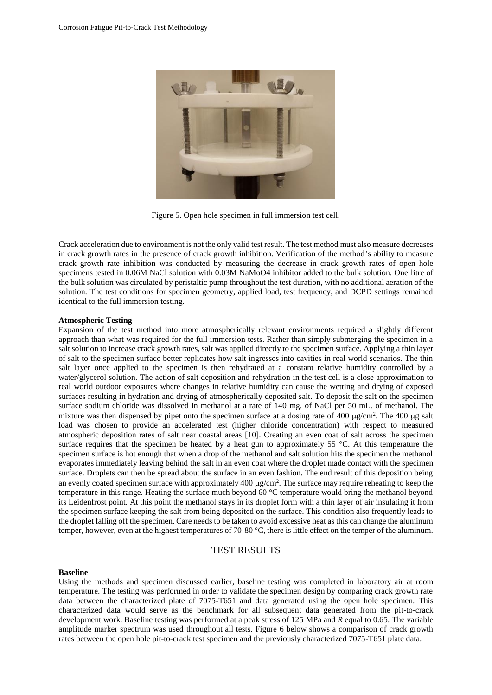

Figure 5. Open hole specimen in full immersion test cell.

Crack acceleration due to environment is not the only valid test result. The test method must also measure decreases in crack growth rates in the presence of crack growth inhibition. Verification of the method's ability to measure crack growth rate inhibition was conducted by measuring the decrease in crack growth rates of open hole specimens tested in 0.06M NaCl solution with 0.03M NaMoO4 inhibitor added to the bulk solution. One litre of the bulk solution was circulated by peristaltic pump throughout the test duration, with no additional aeration of the solution. The test conditions for specimen geometry, applied load, test frequency, and DCPD settings remained identical to the full immersion testing.

#### **Atmospheric Testing**

Expansion of the test method into more atmospherically relevant environments required a slightly different approach than what was required for the full immersion tests. Rather than simply submerging the specimen in a salt solution to increase crack growth rates, salt was applied directly to the specimen surface. Applying a thin layer of salt to the specimen surface better replicates how salt ingresses into cavities in real world scenarios. The thin salt layer once applied to the specimen is then rehydrated at a constant relative humidity controlled by a water/glycerol solution. The action of salt deposition and rehydration in the test cell is a close approximation to real world outdoor exposures where changes in relative humidity can cause the wetting and drying of exposed surfaces resulting in hydration and drying of atmospherically deposited salt. To deposit the salt on the specimen surface sodium chloride was dissolved in methanol at a rate of 140 mg. of NaCl per 50 mL. of methanol. The mixture was then dispensed by pipet onto the specimen surface at a dosing rate of 400  $\mu$ g/cm<sup>2</sup>. The 400  $\mu$ g salt load was chosen to provide an accelerated test (higher chloride concentration) with respect to measured atmospheric deposition rates of salt near coastal areas [10]. Creating an even coat of salt across the specimen surface requires that the specimen be heated by a heat gun to approximately 55 °C. At this temperature the specimen surface is hot enough that when a drop of the methanol and salt solution hits the specimen the methanol evaporates immediately leaving behind the salt in an even coat where the droplet made contact with the specimen surface. Droplets can then be spread about the surface in an even fashion. The end result of this deposition being an evenly coated specimen surface with approximately  $400 \mu g/cm^2$ . The surface may require reheating to keep the temperature in this range. Heating the surface much beyond 60 °C temperature would bring the methanol beyond its Leidenfrost point. At this point the methanol stays in its droplet form with a thin layer of air insulating it from the specimen surface keeping the salt from being deposited on the surface. This condition also frequently leads to the droplet falling off the specimen. Care needs to be taken to avoid excessive heat as this can change the aluminum temper, however, even at the highest temperatures of 70-80 °C, there is little effect on the temper of the aluminum.

## TEST RESULTS

### **Baseline**

Using the methods and specimen discussed earlier, baseline testing was completed in laboratory air at room temperature. The testing was performed in order to validate the specimen design by comparing crack growth rate data between the characterized plate of 7075-T651 and data generated using the open hole specimen. This characterized data would serve as the benchmark for all subsequent data generated from the pit-to-crack development work. Baseline testing was performed at a peak stress of 125 MPa and *R* equal to 0.65. The variable amplitude marker spectrum was used throughout all tests. Figure 6 below shows a comparison of crack growth rates between the open hole pit-to-crack test specimen and the previously characterized 7075-T651 plate data.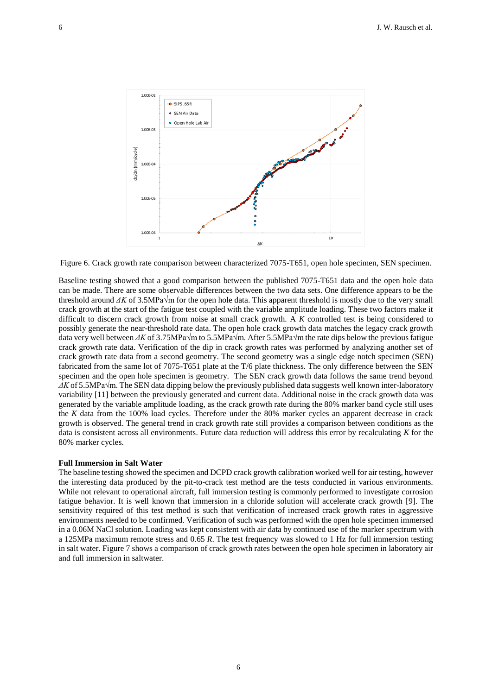

Figure 6. Crack growth rate comparison between characterized 7075-T651, open hole specimen, SEN specimen.

Baseline testing showed that a good comparison between the published 7075-T651 data and the open hole data can be made. There are some observable differences between the two data sets. One difference appears to be the threshold around *ΔK* of 3.5MPa√m for the open hole data. This apparent threshold is mostly due to the very small crack growth at the start of the fatigue test coupled with the variable amplitude loading. These two factors make it difficult to discern crack growth from noise at small crack growth. A *K* controlled test is being considered to possibly generate the near-threshold rate data. The open hole crack growth data matches the legacy crack growth data very well between *ΔK* of 3.75MPa√m to 5.5MPa√m. After 5.5MPa√m the rate dips below the previous fatigue crack growth rate data. Verification of the dip in crack growth rates was performed by analyzing another set of crack growth rate data from a second geometry. The second geometry was a single edge notch specimen (SEN) fabricated from the same lot of 7075-T651 plate at the T/6 plate thickness. The only difference between the SEN specimen and the open hole specimen is geometry. The SEN crack growth data follows the same trend beyond *ΔK* of 5.5MPa√m. The SEN data dipping below the previously published data suggests well known inter-laboratory variability [11] between the previously generated and current data. Additional noise in the crack growth data was generated by the variable amplitude loading, as the crack growth rate during the 80% marker band cycle still uses the *K* data from the 100% load cycles. Therefore under the 80% marker cycles an apparent decrease in crack growth is observed. The general trend in crack growth rate still provides a comparison between conditions as the data is consistent across all environments. Future data reduction will address this error by recalculating *K* for the 80% marker cycles.

#### **Full Immersion in Salt Water**

The baseline testing showed the specimen and DCPD crack growth calibration worked well for air testing, however the interesting data produced by the pit-to-crack test method are the tests conducted in various environments. While not relevant to operational aircraft, full immersion testing is commonly performed to investigate corrosion fatigue behavior. It is well known that immersion in a chloride solution will accelerate crack growth [9]. The sensitivity required of this test method is such that verification of increased crack growth rates in aggressive environments needed to be confirmed. Verification of such was performed with the open hole specimen immersed in a 0.06M NaCl solution. Loading was kept consistent with air data by continued use of the marker spectrum with a 125MPa maximum remote stress and 0.65 *R*. The test frequency was slowed to 1 Hz for full immersion testing in salt water. Figure 7 shows a comparison of crack growth rates between the open hole specimen in laboratory air and full immersion in saltwater.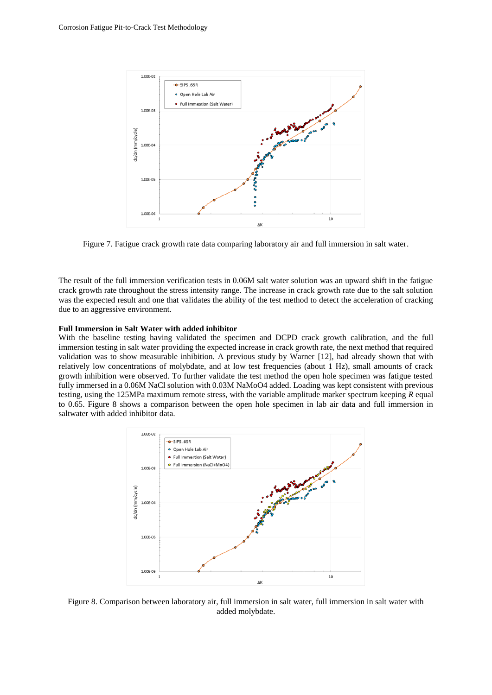

Figure 7. Fatigue crack growth rate data comparing laboratory air and full immersion in salt water.

The result of the full immersion verification tests in 0.06M salt water solution was an upward shift in the fatigue crack growth rate throughout the stress intensity range. The increase in crack growth rate due to the salt solution was the expected result and one that validates the ability of the test method to detect the acceleration of cracking due to an aggressive environment.

#### **Full Immersion in Salt Water with added inhibitor**

With the baseline testing having validated the specimen and DCPD crack growth calibration, and the full immersion testing in salt water providing the expected increase in crack growth rate, the next method that required validation was to show measurable inhibition. A previous study by Warner [12], had already shown that with relatively low concentrations of molybdate, and at low test frequencies (about 1 Hz), small amounts of crack growth inhibition were observed. To further validate the test method the open hole specimen was fatigue tested fully immersed in a 0.06M NaCl solution with 0.03M NaMoO4 added. Loading was kept consistent with previous testing, using the 125MPa maximum remote stress, with the variable amplitude marker spectrum keeping *R* equal to 0.65. Figure 8 shows a comparison between the open hole specimen in lab air data and full immersion in saltwater with added inhibitor data.



Figure 8. Comparison between laboratory air, full immersion in salt water, full immersion in salt water with added molybdate.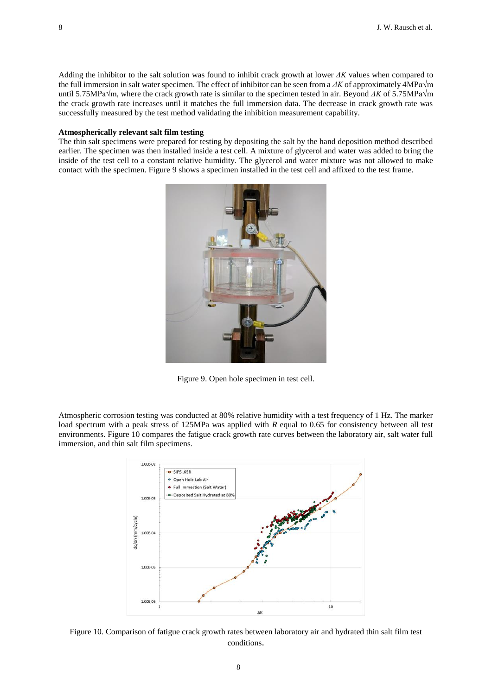Adding the inhibitor to the salt solution was found to inhibit crack growth at lower *ΔK* values when compared to the full immersion in salt water specimen. The effect of inhibitor can be seen from a *ΔK* of approximately 4MPa√m until 5.75MPa√m, where the crack growth rate is similar to the specimen tested in air. Beyond *ΔK* of 5.75MPa√m the crack growth rate increases until it matches the full immersion data. The decrease in crack growth rate was successfully measured by the test method validating the inhibition measurement capability.

### **Atmospherically relevant salt film testing**

The thin salt specimens were prepared for testing by depositing the salt by the hand deposition method described earlier. The specimen was then installed inside a test cell. A mixture of glycerol and water was added to bring the inside of the test cell to a constant relative humidity. The glycerol and water mixture was not allowed to make contact with the specimen. Figure 9 shows a specimen installed in the test cell and affixed to the test frame.



Figure 9. Open hole specimen in test cell.

Atmospheric corrosion testing was conducted at 80% relative humidity with a test frequency of 1 Hz. The marker load spectrum with a peak stress of 125MPa was applied with *R* equal to 0.65 for consistency between all test environments. Figure 10 compares the fatigue crack growth rate curves between the laboratory air, salt water full immersion, and thin salt film specimens.



Figure 10. Comparison of fatigue crack growth rates between laboratory air and hydrated thin salt film test conditions.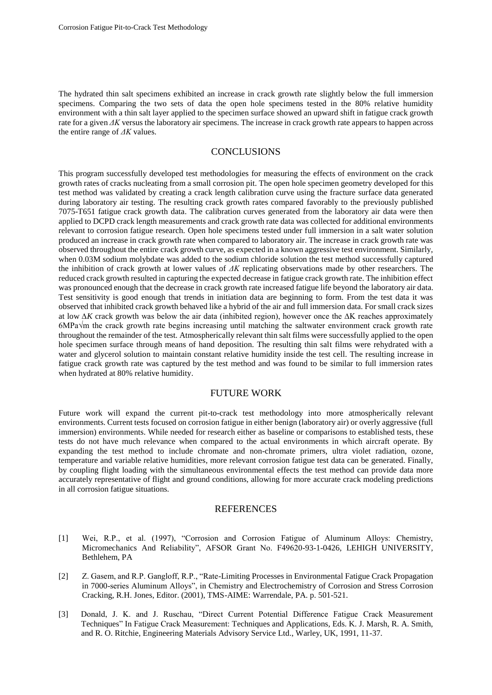The hydrated thin salt specimens exhibited an increase in crack growth rate slightly below the full immersion specimens. Comparing the two sets of data the open hole specimens tested in the 80% relative humidity environment with a thin salt layer applied to the specimen surface showed an upward shift in fatigue crack growth rate for a given *ΔK* versus the laboratory air specimens. The increase in crack growth rate appears to happen across the entire range of *ΔK* values.

# **CONCLUSIONS**

This program successfully developed test methodologies for measuring the effects of environment on the crack growth rates of cracks nucleating from a small corrosion pit. The open hole specimen geometry developed for this test method was validated by creating a crack length calibration curve using the fracture surface data generated during laboratory air testing. The resulting crack growth rates compared favorably to the previously published 7075-T651 fatigue crack growth data. The calibration curves generated from the laboratory air data were then applied to DCPD crack length measurements and crack growth rate data was collected for additional environments relevant to corrosion fatigue research. Open hole specimens tested under full immersion in a salt water solution produced an increase in crack growth rate when compared to laboratory air. The increase in crack growth rate was observed throughout the entire crack growth curve, as expected in a known aggressive test environment. Similarly, when 0.03M sodium molybdate was added to the sodium chloride solution the test method successfully captured the inhibition of crack growth at lower values of *ΔK* replicating observations made by other researchers. The reduced crack growth resulted in capturing the expected decrease in fatigue crack growth rate. The inhibition effect was pronounced enough that the decrease in crack growth rate increased fatigue life beyond the laboratory air data. Test sensitivity is good enough that trends in initiation data are beginning to form. From the test data it was observed that inhibited crack growth behaved like a hybrid of the air and full immersion data. For small crack sizes at low *∆K* crack growth was below the air data (inhibited region), however once the ∆K reaches approximately 6MPa√m the crack growth rate begins increasing until matching the saltwater environment crack growth rate throughout the remainder of the test. Atmospherically relevant thin salt films were successfully applied to the open hole specimen surface through means of hand deposition. The resulting thin salt films were rehydrated with a water and glycerol solution to maintain constant relative humidity inside the test cell. The resulting increase in fatigue crack growth rate was captured by the test method and was found to be similar to full immersion rates when hydrated at 80% relative humidity.

# FUTURE WORK

Future work will expand the current pit-to-crack test methodology into more atmospherically relevant environments. Current tests focused on corrosion fatigue in either benign (laboratory air) or overly aggressive (full immersion) environments. While needed for research either as baseline or comparisons to established tests, these tests do not have much relevance when compared to the actual environments in which aircraft operate. By expanding the test method to include chromate and non-chromate primers, ultra violet radiation, ozone, temperature and variable relative humidities, more relevant corrosion fatigue test data can be generated. Finally, by coupling flight loading with the simultaneous environmental effects the test method can provide data more accurately representative of flight and ground conditions, allowing for more accurate crack modeling predictions in all corrosion fatigue situations.

### **REFERENCES**

- [1] Wei, R.P., et al. (1997), "Corrosion and Corrosion Fatigue of Aluminum Alloys: Chemistry, Micromechanics And Reliability", AFSOR Grant No. F49620-93-1-0426, LEHIGH UNIVERSITY, Bethlehem, PA
- [2] Z. Gasem, and R.P. Gangloff, R.P., "Rate-Limiting Processes in Environmental Fatigue Crack Propagation in 7000-series Aluminum Alloys", in Chemistry and Electrochemistry of Corrosion and Stress Corrosion Cracking, R.H. Jones, Editor. (2001), TMS-AIME: Warrendale, PA. p. 501-521.
- [3] Donald, J. K. and J. Ruschau, "Direct Current Potential Difference Fatigue Crack Measurement Techniques" In Fatigue Crack Measurement: Techniques and Applications, Eds. K. J. Marsh, R. A. Smith, and R. O. Ritchie, Engineering Materials Advisory Service Ltd., Warley, UK, 1991, 11-37.